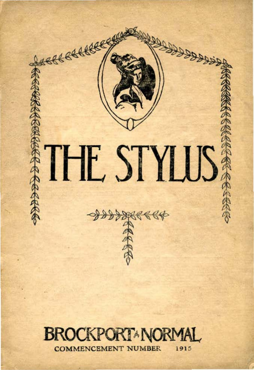

# **BROCKPORT\*NORM** COMMENCEMENT NUMBER i915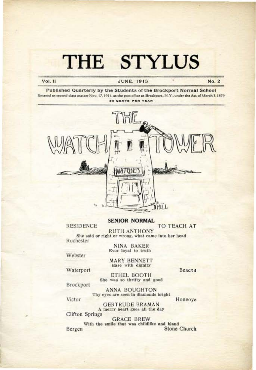#### Vol. II

#### **JUNE, 1915**

No. 2

Published Quarterly by the Students of the Brockport Normal School Entered as second class matter Nov. 17, 1914, at the post office at Brockport, N.Y., under the Act of March 3, 1879 **50 CENTS PER YEAR** 



#### **SENIOR NORMAL**

**RESIDENCE** 

TO TEACH AT

**RUTH ANTHONY** She said or right or wrong, what came into her head Rochester

> NINA BAKER Ever loyal to truth

Webster

**MARY BENNETT** Ease with dignity

Waterport

ETHEL BOOTH She was so thrifty and good Beacon

Brockport

**ANNA BOUGHTON** Thy eyes are seen in diamonds bright

Honeoye

Victor

**GERTRUDE BRAMAN** A merry heart goes all the day **Clifton Springs** 

**GRACE BREW** With the smile that was childlike and bland Bergen Stone Church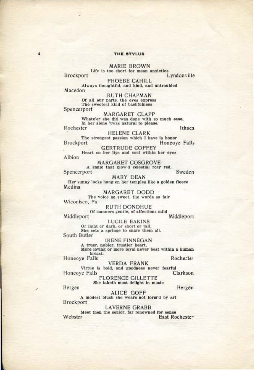MARIE BROWN<br>Life is too short for mean anxieties **Brockport** Lyndonville

PHOEBE CAHILL Always thoughtful, and kind, and untroubled

Macedon **RUTH CHAPMAN** 

Of all our parts, the eyes express<br>The sweetest kind of bashfulness Spencerport

**MARGARET CLAPP** Whate'er she did was done with so much ease, In her alone 'twas natural to please. Rochester Ithaca

**HELENE CLARK** The strongest passion which I have is honor

Honeove Falls Brockport **GERTRUDE COFFEY** 

Heart on her lips and soul within her eyes Albion

**MARGARET COSGROVE** A smile that glow'd celestial rosy red. Spencerport

Sweden **MARY DEAN** 

Her sunny locks hang on her temples like a golden fleece Medina

MARGARET DODD The voice so sweet, the words so fair Wiconisco, Pa.

**RUTH DONOHUE** Of manners gentle, of affections mild Middleport

Middleport

**LUCILE EAKINS** Or light or dark, or short or tall, She sets a springe to snare them all. South Butler

**IRENE FINNEGAN** 

A truer, nobler, trustier heart,<br>More loving or more loyal never beat within a human breast.

Honeove Falls

Rocheste:

**VERDA FRANK** 

Virtue is bold, and goodness never fearful Honeoye Falls Clarkson

**FLORENCE GILLETTE** She taketh most delight in music

Bergen

 $\overline{\mathbf{A}}$ 

Bergen

ALICE GOFF

A modest blush she wears not form'd by art Brockport

**LAVERNE GRABB** 

Meet then the senior, far renowned for sense Webster East Rochester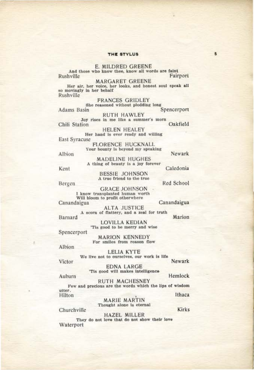E. MILDRED GREENE And those who know thee, know all words are faint Fairport Rushville

**MARGARET GREENE** Her air, her voice, her looks, and honest soul speak all so movingly in her behalf Rushville

**FRANCES GRIDLEY** She reasoned without plodding long Spencerport Adams Basin

**RUTH HAWLEY** Joy rises in me like a summer's morn

Chili Station Oakfield **HELEN HEALEY** 

Her hand is ever ready and willing East Syracuse

**FLORENCE HUCKNALL** Your bounty is beyond my speaking

Albion

**MADELINE HUGHES** A thing of beauty is a joy forever

Kent

**BESSIE JOHNSON** A true friend to the true

Bergen

**GRACE JOHNSON** I know transplanted human worth Will bloom to profit otherwhere Canandaigua

Canandaigua

**ALTA JUSTICE** A scorn of flattery, and a zeal for truth

Barnard

**LOVILLA KEDIAN** 'Tis good to be merry and wise

Spencerport

**MARION KENNEDY** For smiles from reason flow

Albion

**LELIA KYTE** We live not to ourselves, our work is life

Victor

Newark

Hemlock

Marion

**EDNA LARGE** 'Tis good will makes intelligence

Auburn

Churchville

**RUTH MACHESNEY** Few and precious are the words which the lips of wisdom utter. Ithaca Hilton

MARIE MARTIN Thought alone is eternal

Kirks

**HAZEL MILLER** They do not love that do not show their love Waterport

Caledonia

Red School

Newark

5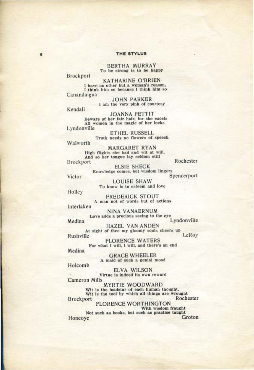**BERTHA MURRAY** To be strong is to be happy

Brockport

**KATHARINE O'BRIEN** I have no other but a woman's reason, I think him so because I think him so Canandaigua

**JOHN PARKER** I am the very pink of courtesy

Kendall

**JOANNA PETTIT** Beware of her fair hair, for she excels All women in the magic of her locks Lyndonville

ETHEL RUSSELL<br>Truth needs no flowers of speech

Walworth

MARGARET RYAN<br>High flights she had and wit at will, And so her tongue lay seldom still

Brockport

Rochester

**ELSIE SHECK** Knowledge comes, but wisdom lingers Spencerport

Victor

**LOUISE SHAW** To know is to esteem and love

Holley

**FREDERICK STOUT** A man not of words but of actions Interlaken

NINA VANAERNUM Love adds a precious seeing to the eye Lyndonville

Medina **HAZEL VAN ANDEN** At sight of thee my gloomy souls cheers up Rushville

LeRoy

**FLORENCE WATERS** For what I will, I will, and there's an end

Medina

**GRACE WHEELER** A maid of such a genial mood

Holcomb

**ELVA WILSON** Virtue is indeed its own reward **Cameron Mills** 

**MYRTIE WOODWARD** Wit is the loadstar of each human thought, Wit is the tool by which all things are wrought Rochester Brockport

**FLORENCE WORTHINGTON** With wisdom fraught Not such as books, but such as practise taught Groton Honeoye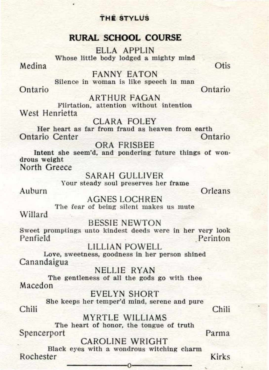## **RURAL SCHOOL COURSE**

ELLA APPLIN Whose little body lodged a mighty mind

Medina

i.

**Otis** 

FANNY EATON Silence in woman is like speech in man

Ontario Ontario

ARTHUR FAGAN

Flirtation, attention without intention West Henrietta

CLARA FOLEY

Her heart as far from fraud as heaven from earth<br>trio Center Contario Ontario Center

ORA FRISBEE

Intent she seem'd, and pondering future things of wondrous weight North Greece

SARAH GULLIVER Your steady soul preserves her frame Auburn Orleans

AGNES LOCHREN The fear of being silent makes us mute

Willard

BESSIE NEWTON

Sweet promptings unto kindest deeds were in her very look Penfield Perinton

LILLIAN POWELL Love, sweetness, goodness in her person shined Canandaigua

NELLIE RYAN The gentleness of all the gods go with thee Macedon

EVELYN SHORT She keeps her temper'd mind, serene and pure Chili Chili

MYRTLE WILLIAMS

The heart of honor, the tongue of truth Spencerport Parma

CAROLINE WRIGHT

Black eyes with a wondrous witching charm Rochester -------------0------------- Kirks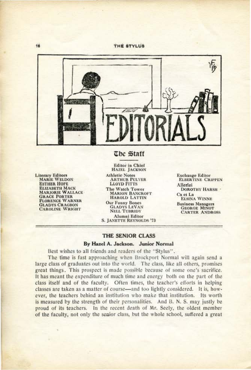

#### The Staff

**Literary Editors MARIE WELDON ESTHER HOPE ELIZABETH MACK MARJORIE WALLACE GRACE PORTER FLORENCE WARNER GLADYS CRAGBON CAROLINE WRIGHT** 

**Editor** in Chief **HAZEL JACKSON Athletic Notes ARTHUR PULVER LLOYD FITTS** The Watch Tower **MARION BANCROFT** HAROLD LATTIN **Our Funny Bones GLADYS LEVAN NELL TUBRIDY** Alumni Editor **S. JANETTE REYNOLDS '73** 

**Exchange Editor ELBERTINE CRIPPEN** Allerlei **DOROTHY HARSH** -Ca et La **ELSINA WINNE Business Managers GEORGE MINOT CARTER ANDROSS** 

#### THE SENIOR CLASS

#### By Hazel A. Jackson. Junior Normal

Best wishes to all friends and readers of the "Stylus".

The time is fast approaching when Brockport Normal will again send a large class of graduates out into the world. The class, like all others, promises great things. This prospect is made possible because of some one's sacrifice. It has meant the expenditure of much time and energy both on the part of the class itself and of the faculty. Often times, the teacher's efforts in helping classes are taken as a matter of course—and too lightly considered. It is, however, the teachers behind an institution who make that institution. Its worth is measured by the strength of their personalities. And B. N. S. may justly be proud of its teachers. In the recent death of Mr. Seely, the oldest member of the faculty, not only the senior class, but the whole school, suffered a great

16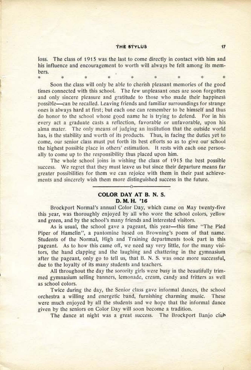loss. The class of 1915 was the last to come directly in contact with him and his influence and encouragement to worth will always be felt among its members.

• • • • • \* ,, Soon the class will only be able to cherish pleasant memories of the good times connected with this school. The few unpleasant ones are soon forgotten and only sincere pleasure and gratitude to those who made their happiness possible--can be recalled. Leaving friends and familiar surroundings for strange ones is always hard at first; but each one can remember to be himself and thus do honor to the school whose good name he is trying to defend. For in his every act a graduate casts a reflection, favorable or unfavorable, upon his alma mater. The only means of judging an institution that the outside world has, is the stability and worth of its products. Thus, in facing the duties yet to come, our senior class must put forth its best efforts so as to give our school the highest possible place in others' estimation. It rests with each one personally to come up to the responsibility thus placed upon him.

The whole school joins in wishing the class of 1915 the best possible success. We regret that they must leave us but since their departure means far greater possibilities for them we can rejoice with them in their past achievements and sincerely wish them more distinguished success in the future.

#### **COLOR DAY AT B. N.** S. **D. M. H. '16**

Brockport Normal's annual Color Day, which came on May twenty-five this year, was thoroughly enjoyed by all who wore the school colors, yellow and green, and by the school's many friends and interested visitors.

As is usual, the school gave a pageant, this year—this time "The Pied Piper of Hamelin", a pantomine based on Browning's poem of that name. Students of the Normal, High and Training departments took part in this pageant. As to how this came off, we need say very little, for the many visitors, the hand clapping and the laughing and chattering in the gymnasium after the pageant, only go to tell us, that B. N. S. was once more successful, due to the loyalty of its many students and teachers.

All throughout the day the sorority girls were busy in the beautifully trimmed gymnasium selling banners. lemonade, cream, candy and fritters as well as school colors.

Twice during the day, the Senior class gave informal dances, the school orchestra a willing and energetic band, furnishing charming music. These were much enjoyed by all the students and we hope that the informal dance given by the seniors on Color Day will soon become a tradition.

The dance at night was a great success. The Brockport Banjo club